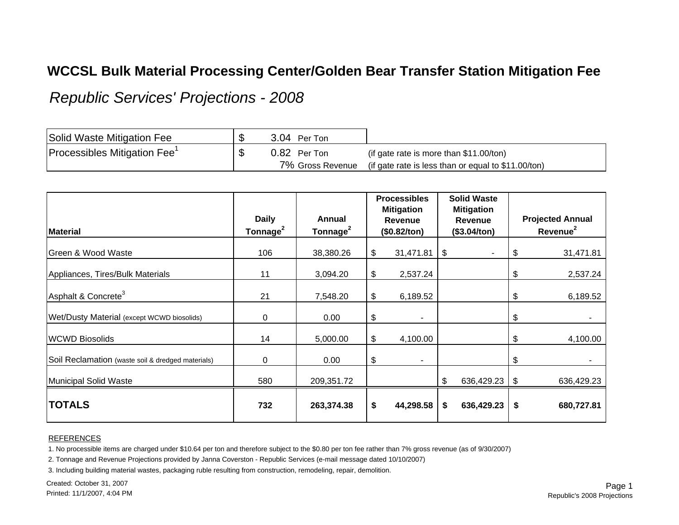## **WCCSL Bulk Material Processing Center/Golden Bear Transfer Station Mitigation Fee**

*Republic Services' Projections - 2008*

| Solid Waste Mitigation Fee               | 3.04 Per Ton     |                                                     |
|------------------------------------------|------------------|-----------------------------------------------------|
| Processibles Mitigation Fee <sup>1</sup> | 0.82 Per Ton     | (if gate rate is more than $$11.00/t$ on)           |
|                                          | 7% Gross Revenue | (if gate rate is less than or equal to \$11.00/ton) |

| <b>Material</b>                                   | <b>Daily</b><br>Tonnage <sup>2</sup> | Annual<br>Tonnage <sup>2</sup> | <b>Processibles</b><br><b>Mitigation</b><br><b>Revenue</b><br>(\$0.82/ton) | <b>Solid Waste</b><br><b>Mitigation</b><br><b>Revenue</b><br>(\$3.04/ton) |            | <b>Projected Annual</b><br>Revenue <sup>2</sup> |            |
|---------------------------------------------------|--------------------------------------|--------------------------------|----------------------------------------------------------------------------|---------------------------------------------------------------------------|------------|-------------------------------------------------|------------|
|                                                   |                                      |                                |                                                                            |                                                                           |            |                                                 |            |
| Green & Wood Waste                                | 106                                  | 38,380.26                      | \$<br>31,471.81                                                            | \$                                                                        |            | \$                                              | 31,471.81  |
| Appliances, Tires/Bulk Materials                  | 11                                   | 3,094.20                       | \$<br>2,537.24                                                             |                                                                           |            | \$                                              | 2,537.24   |
| Asphalt & Concrete <sup>3</sup>                   | 21                                   | 7,548.20                       | \$<br>6,189.52                                                             |                                                                           |            | \$                                              | 6,189.52   |
| Wet/Dusty Material (except WCWD biosolids)        | 0                                    | 0.00                           | \$<br>٠                                                                    |                                                                           |            | \$                                              |            |
| <b>WCWD Biosolids</b>                             | 14                                   | 5,000.00                       | \$<br>4,100.00                                                             |                                                                           |            | \$                                              | 4,100.00   |
| Soil Reclamation (waste soil & dredged materials) | 0                                    | 0.00                           | \$<br>٠                                                                    |                                                                           |            | \$                                              |            |
| Municipal Solid Waste                             | 580                                  | 209,351.72                     |                                                                            | \$                                                                        | 636,429.23 | -\$                                             | 636,429.23 |
| <b>TOTALS</b>                                     | 732                                  | 263,374.38                     | \$<br>44,298.58                                                            | \$                                                                        | 636,429.23 | \$                                              | 680,727.81 |

## REFERENCES

1. No processible items are charged under \$10.64 per ton and therefore subject to the \$0.80 per ton fee rather than 7% gross revenue (as of 9/30/2007)

2. Tonnage and Revenue Projections provided by Janna Coverston - Republic Services (e-mail message dated 10/10/2007)

3. Including building material wastes, packaging ruble resulting from construction, remodeling, repair, demolition.